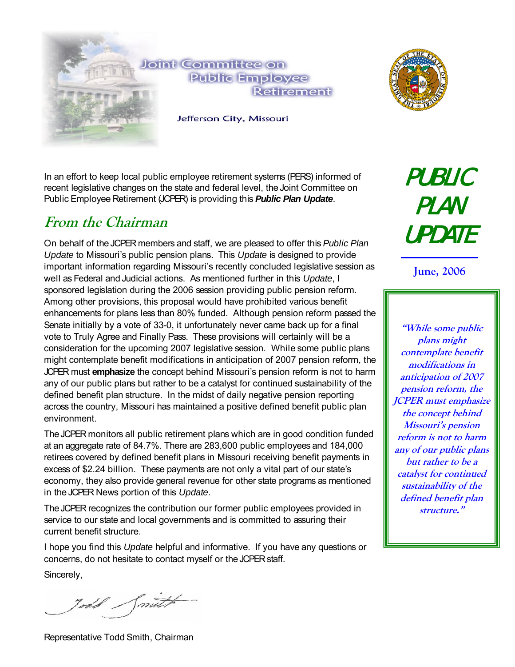

In an effort to keep local public employee retirement systems (PERS) informed of recent legislative changes on the state and federal level, the Joint Committee on Public Employee Retirement (JCPER) is providing this *Public Plan Update*.

## **From the Chairman**

On behalf of the JCPER members and staff, we are pleased to offer this *Public Plan Update* to Missouri's public pension plans. This *Update* is designed to provide important information regarding Missouri's recently concluded legislative session as well as Federal and Judicial actions. As mentioned further in this *Update*, I sponsored legislation during the 2006 session providing public pension reform. Among other provisions, this proposal would have prohibited various benefit enhancements for plans less than 80% funded. Although pension reform passed the Senate initially by a vote of 33-0, it unfortunately never came back up for a final vote to Truly Agree and Finally Pass. These provisions will certainly will be a consideration for the upcoming 2007 legislative session. While some public plans might contemplate benefit modifications in anticipation of 2007 pension reform, the JCPER must **emphasize** the concept behind Missouri's pension reform is not to harm any of our public plans but rather to be a catalyst for continued sustainability of the defined benefit plan structure. In the midst of daily negative pension reporting across the country, Missouri has maintained a positive defined benefit public plan environment.

The JCPER monitors all public retirement plans which are in good condition funded at an aggregate rate of 84.7%. There are 283,600 public employees and 184,000 retirees covered by defined benefit plans in Missouri receiving benefit payments in excess of \$2.24 billion. These payments are not only a vital part of our state's economy, they also provide general revenue for other state programs as mentioned in the JCPER News portion of this *Update*.

The JCPER recognizes the contribution our former public employees provided in service to our state and local governments and is committed to assuring their current benefit structure.

I hope you find this *Update* helpful and informative. If you have any questions or concerns, do not hesitate to contact myself or the JCPER staff.

Sincerely,

Todd Smuth

Representative Todd Smith, Chairman

PUBLIC PLAN UPDATE

**June, 2006** 

**"While some public plans might contemplate benefit modifications in anticipation of 2007 pension reform, the JCPER must emphasize the concept behind Missouri's pension reform is not to harm any of our public plans but rather to be a catalyst for continued sustainability of the defined benefit plan structure."**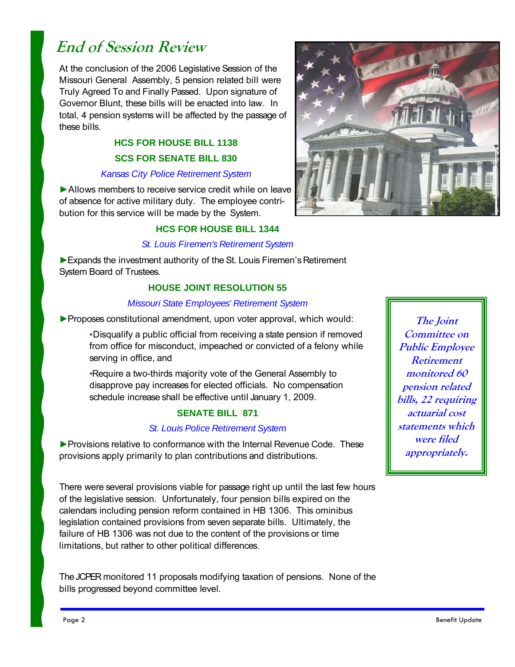# **End of Session Review**

At the conclusion of the 2006 Legislative Session of the Missouri General Assembly, 5 pension related bill were Truly Agreed To and Finally Passed. Upon signature of Governor Blunt, these bills will be enacted into law. In total, 4 pension systems will be affected by the passage of these bills.

## **HCS FOR HOUSE BILL 1138 SCS FOR SENATE BILL 830**

#### *Kansas City Police Retirement System*

▶ Allows members to receive service credit while on leave of absence for active military duty. The employee contribution for this service will be made by the System.

### **HCS FOR HOUSE BILL 1344**

#### *St. Louis Firemen's Retirement System*

►Expands the investment authority of the St. Louis Firemen's Retirement System Board of Trustees.

### **HOUSE JOINT RESOLUTION 55**

#### *Missouri State Employees' Retirement System*

▶ Proposes constitutional amendment, upon voter approval, which would:

▪Disqualify a public official from receiving a state pension if removed from office for misconduct, impeached or convicted of a felony while serving in office, and

▪Require a two-thirds majority vote of the General Assembly to disapprove pay increases for elected officials. No compensation schedule increase shall be effective until January 1, 2009.

### **SENATE BILL 871**

#### *St. Louis Police Retirement System*

► Provisions relative to conformance with the Internal Revenue Code. These provisions apply primarily to plan contributions and distributions.

There were several provisions viable for passage right up until the last few hours of the legislative session. Unfortunately, four pension bills expired on the calendars including pension reform contained in HB 1306. This ominibus legislation contained provisions from seven separate bills. Ultimately, the failure of HB 1306 was not due to the content of the provisions or time limitations, but rather to other political differences.

The JCPER monitored 11 proposals modifying taxation of pensions. None of the bills progressed beyond committee level.



**The Joint Committee on Public Employee Retirement monitored 60 pension related bills, 22 requiring actuarial cost statements which were filed appropriately.**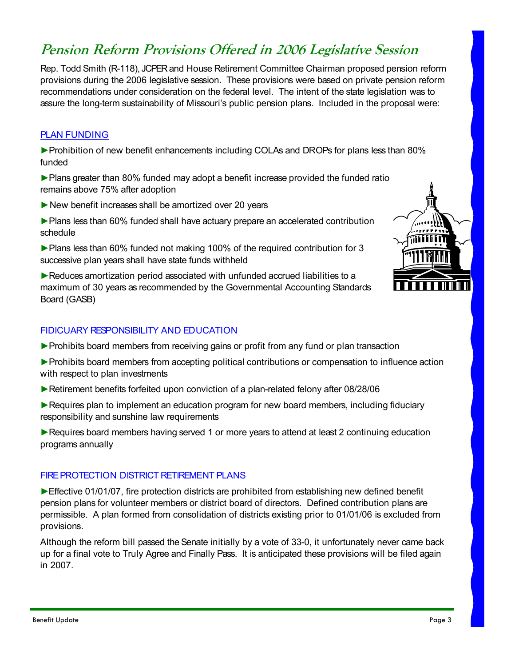## **Pension Reform Provisions Offered in 2006 Legislative Session**

Rep. Todd Smith (R-118), JCPER and House Retirement Committee Chairman proposed pension reform provisions during the 2006 legislative session. These provisions were based on private pension reform recommendations under consideration on the federal level. The intent of the state legislation was to assure the long-term sustainability of Missouri's public pension plans. Included in the proposal were:

## PLAN FUNDING

►Prohibition of new benefit enhancements including COLAs and DROPs for plans less than 80% funded

- ►Plans greater than 80% funded may adopt a benefit increase provided the funded ratio remains above 75% after adoption
- ►New benefit increases shall be amortized over 20 years
- ►Plans less than 60% funded shall have actuary prepare an accelerated contribution schedule

►Plans less than 60% funded not making 100% of the required contribution for 3 successive plan years shall have state funds withheld

►Reduces amortization period associated with unfunded accrued liabilities to a maximum of 30 years as recommended by the Governmental Accounting Standards Board (GASB)

### FIDICUARY RESPONSIBILITY AND EDUCATION

- ►Prohibits board members from receiving gains or profit from any fund or plan transaction
- ►Prohibits board members from accepting political contributions or compensation to influence action with respect to plan investments
- ►Retirement benefits forfeited upon conviction of a plan-related felony after 08/28/06
- ► Requires plan to implement an education program for new board members, including fiduciary responsibility and sunshine law requirements

► Requires board members having served 1 or more years to attend at least 2 continuing education programs annually

### FIRE PROTECTION DISTRICT RETIREMENT PLANS

► Effective 01/01/07, fire protection districts are prohibited from establishing new defined benefit pension plans for volunteer members or district board of directors. Defined contribution plans are permissible. A plan formed from consolidation of districts existing prior to 01/01/06 is excluded from provisions.

Although the reform bill passed the Senate initially by a vote of 33-0, it unfortunately never came back up for a final vote to Truly Agree and Finally Pass. It is anticipated these provisions will be filed again in 2007.

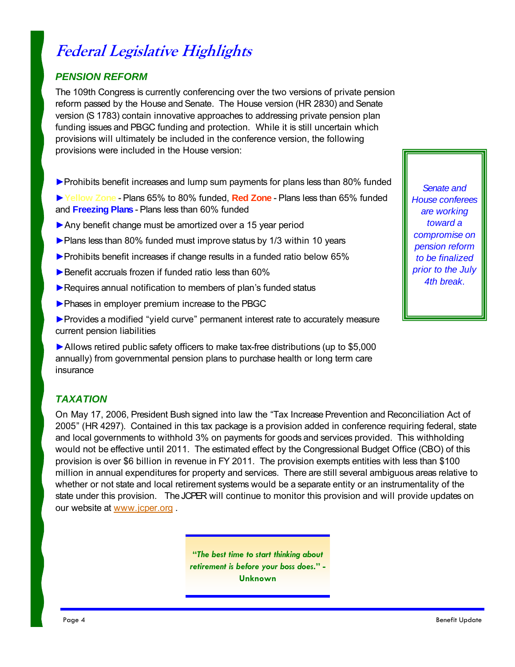# **Federal Legislative Highlights**

## *PENSION REFORM*

The 109th Congress is currently conferencing over the two versions of private pension reform passed by the House and Senate. The House version (HR 2830) and Senate version (S 1783) contain innovative approaches to addressing private pension plan funding issues and PBGC funding and protection. While it is still uncertain which provisions will ultimately be included in the conference version, the following provisions were included in the House version:

- ►Prohibits benefit increases and lump sum payments for plans less than 80% funded
- ►**Yellow Zone** Plans 65% to 80% funded, **Red Zone** Plans less than 65% funded and **Freezing Plans** - Plans less than 60% funded
- ▶ Any benefit change must be amortized over a 15 year period
- ►Plans less than 80% funded must improve status by 1/3 within 10 years
- ►Prohibits benefit increases if change results in a funded ratio below 65%
- ► Benefit accruals frozen if funded ratio less than 60%
- ▶Requires annual notification to members of plan's funded status
- ▶ Phases in employer premium increase to the PBGC

▶ Provides a modified "yield curve" permanent interest rate to accurately measure current pension liabilities

►Allows retired public safety officers to make tax-free distributions (up to \$5,000 annually) from governmental pension plans to purchase health or long term care insurance

## *TAXATION*

On May 17, 2006, President Bush signed into law the "Tax Increase Prevention and Reconciliation Act of 2005" (HR 4297). Contained in this tax package is a provision added in conference requiring federal, state and local governments to withhold 3% on payments for goods and services provided. This withholding would not be effective until 2011. The estimated effect by the Congressional Budget Office (CBO) of this provision is over \$6 billion in revenue in FY 2011. The provision exempts entities with less than \$100 million in annual expenditures for property and services. There are still several ambiguous areas relative to whether or not state and local retirement systems would be a separate entity or an instrumentality of the state under this provision. The JCPER will continue to monitor this provision and will provide updates on our website at www.jcper.org .

> **"***The best time to start thinking about retirement is before your boss does***." - Unknown**

*Senate and House conferees are working toward a compromise on pension reform to be finalized prior to the July 4th break*.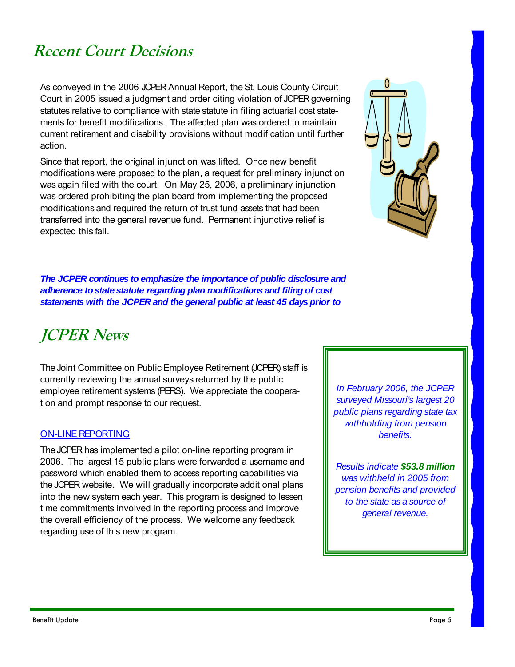# **Recent Court Decisions**

As conveyed in the 2006 JCPER Annual Report, the St. Louis County Circuit Court in 2005 issued a judgment and order citing violation of JCPER governing statutes relative to compliance with state statute in filing actuarial cost statements for benefit modifications. The affected plan was ordered to maintain current retirement and disability provisions without modification until further action.

Since that report, the original injunction was lifted. Once new benefit modifications were proposed to the plan, a request for preliminary injunction was again filed with the court. On May 25, 2006, a preliminary injunction was ordered prohibiting the plan board from implementing the proposed modifications and required the return of trust fund assets that had been transferred into the general revenue fund. Permanent injunctive relief is expected this fall.



*The JCPER continues to emphasize the importance of public disclosure and adherence to state statute regarding plan modifications and filing of cost statements with the JCPER and the general public at least 45 days prior to* 

# **JCPER News**

The Joint Committee on Public Employee Retirement (JCPER) staff is currently reviewing the annual surveys returned by the public employee retirement systems (PERS). We appreciate the cooperation and prompt response to our request.

### ON-LINE REPORTING

The JCPER has implemented a pilot on-line reporting program in 2006. The largest 15 public plans were forwarded a username and password which enabled them to access reporting capabilities via the JCPER website. We will gradually incorporate additional plans into the new system each year. This program is designed to lessen time commitments involved in the reporting process and improve the overall efficiency of the process. We welcome any feedback regarding use of this new program.

*In February 2006, the JCPER surveyed Missouri's largest 20 public plans regarding state tax withholding from pension benefits.* 

*Results indicate \$53.8 million was withheld in 2005 from pension benefits and provided to the state as a source of general revenue.*